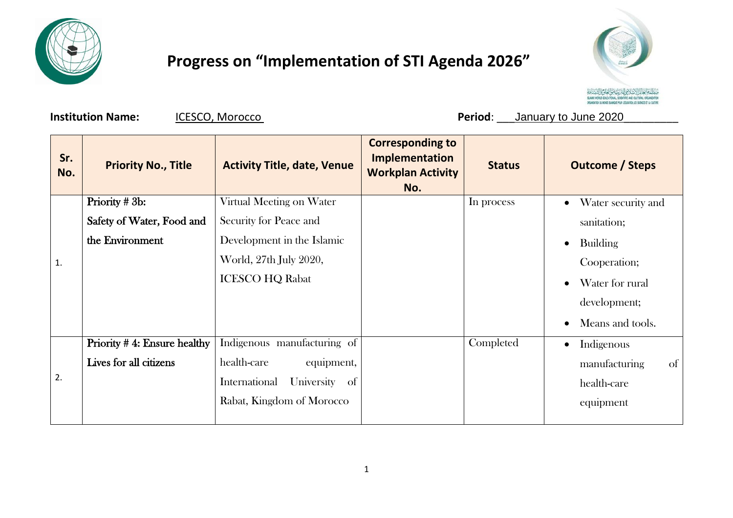

## **Progress on "Implementation of STI Agenda 2026"**



**Institution Name:**  $ICESCO, Morocco$  **ICESCO, Morocco Period**: \_\_January to June 2020

| <b>Priority No., Title</b>  | <b>Activity Title, date, Venue</b>           | <b>Corresponding to</b><br>Implementation<br><b>Workplan Activity</b><br>No. | <b>Status</b> | <b>Outcome / Steps</b>        |
|-----------------------------|----------------------------------------------|------------------------------------------------------------------------------|---------------|-------------------------------|
| Priority # 3b:              | Virtual Meeting on Water                     |                                                                              | In process    | Water security and            |
| Safety of Water, Food and   | Security for Peace and                       |                                                                              |               | sanitation;                   |
| the Environment             | Development in the Islamic                   |                                                                              |               | <b>Building</b>               |
|                             | World, 27th July 2020,                       |                                                                              |               | Cooperation;                  |
|                             | <b>ICESCO HQ Rabat</b>                       |                                                                              |               | Water for rural               |
|                             |                                              |                                                                              |               | development;                  |
|                             |                                              |                                                                              |               | Means and tools.<br>$\bullet$ |
| Priority #4: Ensure healthy | Indigenous manufacturing of                  |                                                                              | Completed     | Indigenous<br>$\bullet$       |
| Lives for all citizens      | health-care<br>equipment,                    |                                                                              |               | manufacturing<br>of           |
|                             | University<br>International<br><sub>of</sub> |                                                                              |               | health-care                   |
|                             | Rabat, Kingdom of Morocco                    |                                                                              |               | equipment                     |
|                             |                                              |                                                                              |               |                               |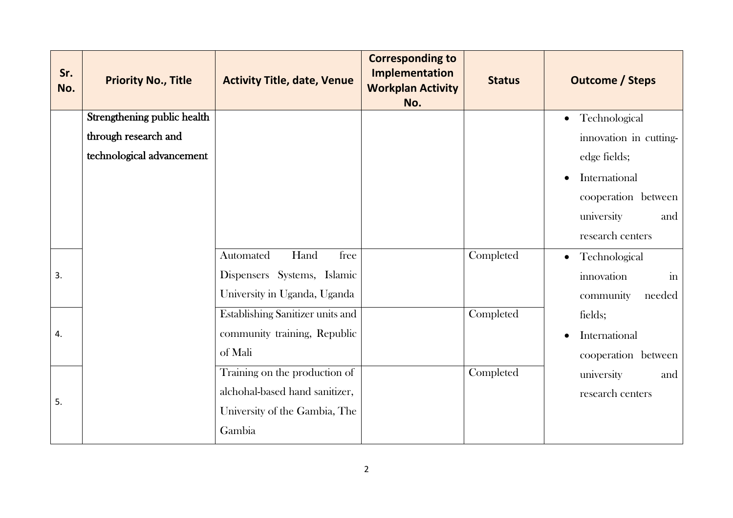| Sr.<br>No. | <b>Priority No., Title</b>  | <b>Activity Title, date, Venue</b> | <b>Corresponding to</b><br><b>Implementation</b><br><b>Workplan Activity</b><br>No. | <b>Status</b> | <b>Outcome / Steps</b>               |
|------------|-----------------------------|------------------------------------|-------------------------------------------------------------------------------------|---------------|--------------------------------------|
|            | Strengthening public health |                                    |                                                                                     |               | Technological<br>$\bullet$           |
|            | through research and        |                                    |                                                                                     |               | innovation in cutting-               |
|            | technological advancement   |                                    |                                                                                     |               | edge fields;                         |
|            |                             |                                    |                                                                                     |               | International<br>$\bullet$           |
|            |                             |                                    |                                                                                     |               | cooperation between                  |
|            |                             |                                    |                                                                                     |               | university<br>and                    |
|            |                             |                                    |                                                                                     |               | research centers                     |
|            |                             | Automated<br>Hand<br>free          |                                                                                     | Completed     | Technological<br>$\bullet$           |
| 3.         |                             | Dispensers Systems, Islamic        |                                                                                     |               | $\overline{\text{in}}$<br>innovation |
|            |                             | University in Uganda, Uganda       |                                                                                     |               | needed<br>community                  |
| 4.         |                             | Establishing Sanitizer units and   |                                                                                     | Completed     | fields;                              |
|            |                             | community training, Republic       |                                                                                     |               | International                        |
|            |                             | of Mali                            |                                                                                     |               | cooperation between                  |
| 5.         |                             | Training on the production of      |                                                                                     | Completed     | university<br>and                    |
|            |                             | alchohal-based hand sanitizer,     |                                                                                     |               | research centers                     |
|            |                             | University of the Gambia, The      |                                                                                     |               |                                      |
|            |                             | Gambia                             |                                                                                     |               |                                      |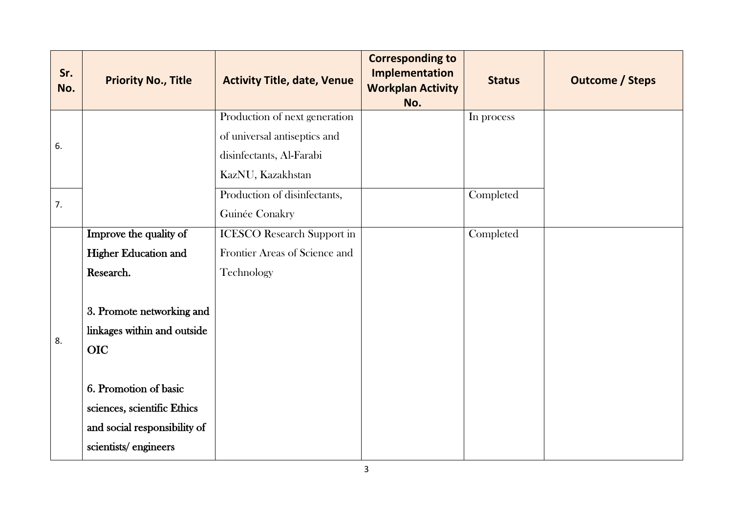| Sr.<br>No. | <b>Priority No., Title</b>   | <b>Activity Title, date, Venue</b>                                                                             | <b>Corresponding to</b><br><b>Implementation</b><br><b>Workplan Activity</b><br>No. | <b>Status</b> | <b>Outcome / Steps</b> |
|------------|------------------------------|----------------------------------------------------------------------------------------------------------------|-------------------------------------------------------------------------------------|---------------|------------------------|
| 6.         |                              | Production of next generation<br>of universal antiseptics and<br>disinfectants, Al-Farabi<br>KazNU, Kazakhstan |                                                                                     | In process    |                        |
| 7.         |                              | Production of disinfectants,<br>Guinée Conakry                                                                 |                                                                                     | Completed     |                        |
| 8.         | Improve the quality of       | <b>ICESCO</b> Research Support in                                                                              |                                                                                     | Completed     |                        |
|            | <b>Higher Education and</b>  | Frontier Areas of Science and                                                                                  |                                                                                     |               |                        |
|            | Research.                    | Technology                                                                                                     |                                                                                     |               |                        |
|            | 3. Promote networking and    |                                                                                                                |                                                                                     |               |                        |
|            | linkages within and outside  |                                                                                                                |                                                                                     |               |                        |
|            | <b>OIC</b>                   |                                                                                                                |                                                                                     |               |                        |
|            | 6. Promotion of basic        |                                                                                                                |                                                                                     |               |                        |
|            | sciences, scientific Ethics  |                                                                                                                |                                                                                     |               |                        |
|            | and social responsibility of |                                                                                                                |                                                                                     |               |                        |
|            | scientists/engineers         |                                                                                                                |                                                                                     |               |                        |